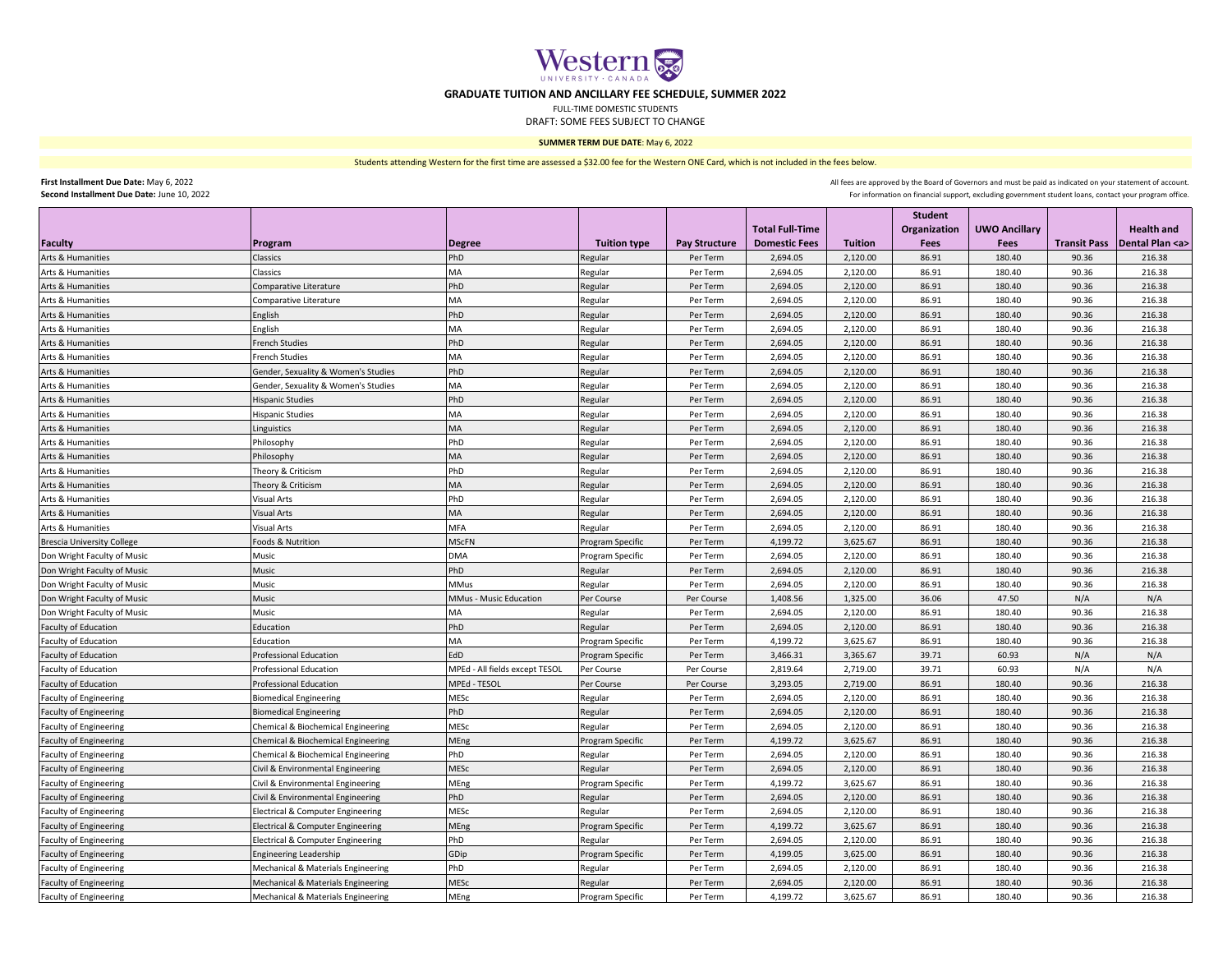

## **GRADUATE TUITION AND ANCILLARY FEE SCHEDULE, SUMMER 2022**

FULL-TIME DOMESTIC STUDENTS

DRAFT: SOME FEES SUBJECT TO CHANGE

## **SUMMER TERM DUE DATE**: May 6, 2022

Students attending Western for the first time are assessed a \$32.00 fee for the Western ONE Card, which is not included in the fees below.

**First Installment Due Date:** May 6, 2022 **Second Installment Due Date:** June 10, 2022

For information on financial support, excluding government student loans, contact your program office. All fees are approved by the Board of Governors and must be paid as indicated on your statement of account.

|                                   |                                     |                                |                     |                      |                        |                | <b>Student</b>      |                      |                     |                     |
|-----------------------------------|-------------------------------------|--------------------------------|---------------------|----------------------|------------------------|----------------|---------------------|----------------------|---------------------|---------------------|
|                                   |                                     |                                |                     |                      | <b>Total Full-Time</b> |                | <b>Organization</b> | <b>UWO Ancillary</b> |                     | <b>Health and</b>   |
| Faculty                           | Program                             | <b>Degree</b>                  | <b>Tuition type</b> | <b>Pay Structure</b> | <b>Domestic Fees</b>   | <b>Tuition</b> | Fees                | <b>Fees</b>          | <b>Transit Pass</b> | Dental Plan <a></a> |
| Arts & Humanities                 | Classics                            | PhD                            | Regular             | Per Term             | 2,694.05               | 2,120.00       | 86.91               | 180.40               | 90.36               | 216.38              |
| Arts & Humanities                 | Classics                            | MA                             | Regular             | Per Term             | 2,694.05               | 2,120.00       | 86.91               | 180.40               | 90.36               | 216.38              |
| Arts & Humanities                 | Comparative Literature              | PhD                            | Regular             | Per Term             | 2,694.05               | 2,120.00       | 86.91               | 180.40               | 90.36               | 216.38              |
| Arts & Humanities                 | Comparative Literature              | MA                             | Regular             | Per Term             | 2,694.05               | 2,120.00       | 86.91               | 180.40               | 90.36               | 216.38              |
| Arts & Humanities                 | English                             | PhD                            | Regular             | Per Term             | 2,694.05               | 2,120.00       | 86.91               | 180.40               | 90.36               | 216.38              |
| Arts & Humanities                 | English                             | MA                             | Regular             | Per Term             | 2,694.05               | 2,120.00       | 86.91               | 180.40               | 90.36               | 216.38              |
| Arts & Humanities                 | French Studies                      | PhD                            | Regular             | Per Term             | 2,694.05               | 2,120.00       | 86.91               | 180.40               | 90.36               | 216.38              |
| Arts & Humanities                 | <b>French Studies</b>               | MA                             | Regular             | Per Term             | 2,694.05               | 2,120.00       | 86.91               | 180.40               | 90.36               | 216.38              |
| Arts & Humanities                 | Gender, Sexuality & Women's Studies | PhD                            | Regular             | Per Term             | 2,694.05               | 2,120.00       | 86.91               | 180.40               | 90.36               | 216.38              |
| Arts & Humanities                 | Gender, Sexuality & Women's Studies | MA                             | Regular             | Per Term             | 2,694.05               | 2,120.00       | 86.91               | 180.40               | 90.36               | 216.38              |
| Arts & Humanities                 | <b>Hispanic Studies</b>             | PhD                            | Regular             | Per Term             | 2,694.05               | 2,120.00       | 86.91               | 180.40               | 90.36               | 216.38              |
| <b>Arts &amp; Humanities</b>      | <b>Hispanic Studies</b>             | МA                             | Regular             | Per Term             | 2,694.05               | 2,120.00       | 86.91               | 180.40               | 90.36               | 216.38              |
| Arts & Humanities                 | Linguistics                         | <b>MA</b>                      | Regular             | Per Term             | 2,694.05               | 2,120.00       | 86.91               | 180.40               | 90.36               | 216.38              |
| Arts & Humanities                 | Philosophy                          | PhD                            | Regular             | Per Term             | 2,694.05               | 2,120.00       | 86.91               | 180.40               | 90.36               | 216.38              |
| Arts & Humanities                 | Philosophy                          | MA                             | Regular             | Per Term             | 2,694.05               | 2,120.00       | 86.91               | 180.40               | 90.36               | 216.38              |
| Arts & Humanities                 | Theory & Criticism                  | PhD                            | Regular             | Per Term             | 2,694.05               | 2,120.00       | 86.91               | 180.40               | 90.36               | 216.38              |
| Arts & Humanities                 | Theory & Criticism                  | MA                             | Regular             | Per Term             | 2,694.05               | 2,120.00       | 86.91               | 180.40               | 90.36               | 216.38              |
| Arts & Humanities                 | Visual Arts                         | PhD                            | Regular             | Per Term             | 2,694.05               | 2,120.00       | 86.91               | 180.40               | 90.36               | 216.38              |
| Arts & Humanities                 | <b>Visual Arts</b>                  | MA                             | Regular             | Per Term             | 2,694.05               | 2,120.00       | 86.91               | 180.40               | 90.36               | 216.38              |
| Arts & Humanities                 | Visual Arts                         | MFA                            | Regular             | Per Term             | 2,694.05               | 2,120.00       | 86.91               | 180.40               | 90.36               | 216.38              |
| <b>Brescia University College</b> | Foods & Nutrition                   | <b>MScFN</b>                   | Program Specific    | Per Term             | 4,199.72               | 3,625.67       | 86.91               | 180.40               | 90.36               | 216.38              |
| Don Wright Faculty of Music       | Music                               | <b>DMA</b>                     | Program Specific    | Per Term             | 2,694.05               | 2,120.00       | 86.91               | 180.40               | 90.36               | 216.38              |
| Don Wright Faculty of Music       | Music                               | PhD                            | Regular             | Per Term             | 2,694.05               | 2,120.00       | 86.91               | 180.40               | 90.36               | 216.38              |
| Don Wright Faculty of Music       | Music                               | <b>MMus</b>                    | Regular             | Per Term             | 2,694.05               | 2,120.00       | 86.91               | 180.40               | 90.36               | 216.38              |
| Don Wright Faculty of Music       | Music                               | MMus - Music Education         | Per Course          | Per Course           | 1,408.56               | 1,325.00       | 36.06               | 47.50                | N/A                 | N/A                 |
| Don Wright Faculty of Music       | Music                               | MA                             | Regular             | Per Term             | 2,694.05               | 2,120.00       | 86.91               | 180.40               | 90.36               | 216.38              |
| <b>Faculty of Education</b>       | Education                           | PhD                            | Regular             | Per Term             | 2,694.05               | 2,120.00       | 86.91               | 180.40               | 90.36               | 216.38              |
| Faculty of Education              | Education                           | MA                             | Program Specific    | Per Term             | 4,199.72               | 3,625.67       | 86.91               | 180.40               | 90.36               | 216.38              |
| <b>Faculty of Education</b>       | <b>Professional Education</b>       | EdD                            | Program Specific    | Per Term             | 3,466.31               | 3,365.67       | 39.71               | 60.93                | N/A                 | N/A                 |
| Faculty of Education              | Professional Education              | MPEd - All fields except TESOL | Per Course          | Per Course           | 2,819.64               | 2,719.00       | 39.71               | 60.93                | N/A                 | N/A                 |
| Faculty of Education              | Professional Education              | MPEd - TESOL                   | Per Course          | Per Course           | 3,293.05               | 2,719.00       | 86.91               | 180.40               | 90.36               | 216.38              |
| <b>Faculty of Engineering</b>     | <b>Biomedical Engineering</b>       | MESc                           | Regular             | Per Term             | 2,694.05               | 2,120.00       | 86.91               | 180.40               | 90.36               | 216.38              |
| <b>Faculty of Engineering</b>     | <b>Biomedical Engineering</b>       | PhD                            | Regular             | Per Term             | 2,694.05               | 2,120.00       | 86.91               | 180.40               | 90.36               | 216.38              |
| <b>Faculty of Engineering</b>     | Chemical & Biochemical Engineering  | MESc                           | Regular             | Per Term             | 2,694.05               | 2,120.00       | 86.91               | 180.40               | 90.36               | 216.38              |
| <b>Faculty of Engineering</b>     | Chemical & Biochemical Engineering  | MEng                           | Program Specific    | Per Term             | 4,199.72               | 3,625.67       | 86.91               | 180.40               | 90.36               | 216.38              |
| <b>Faculty of Engineering</b>     | Chemical & Biochemical Engineering  | PhD                            | Regular             | Per Term             | 2,694.05               | 2,120.00       | 86.91               | 180.40               | 90.36               | 216.38              |
| <b>Faculty of Engineering</b>     | Civil & Environmental Engineering   | MESc                           | Regular             | Per Term             | 2,694.05               | 2,120.00       | 86.91               | 180.40               | 90.36               | 216.38              |
| <b>Faculty of Engineering</b>     | Civil & Environmental Engineering   | MEng                           | Program Specific    | Per Term             | 4,199.72               | 3,625.67       | 86.91               | 180.40               | 90.36               | 216.38              |
| <b>Faculty of Engineering</b>     | Civil & Environmental Engineering   | PhD                            | Regular             | Per Term             | 2,694.05               | 2,120.00       | 86.91               | 180.40               | 90.36               | 216.38              |
| <b>Faculty of Engineering</b>     | Electrical & Computer Engineering   | MESc                           | Regular             | Per Term             | 2,694.05               | 2,120.00       | 86.91               | 180.40               | 90.36               | 216.38              |
| <b>Faculty of Engineering</b>     | Electrical & Computer Engineering   | MEng                           | Program Specific    | Per Term             | 4,199.72               | 3,625.67       | 86.91               | 180.40               | 90.36               | 216.38              |
| <b>Faculty of Engineering</b>     | Electrical & Computer Engineering   | PhD                            | Regular             | Per Term             | 2,694.05               | 2,120.00       | 86.91               | 180.40               | 90.36               | 216.38              |
| <b>Faculty of Engineering</b>     | <b>Engineering Leadership</b>       | GDip                           | Program Specific    | Per Term             | 4,199.05               | 3,625.00       | 86.91               | 180.40               | 90.36               | 216.38              |
| <b>Faculty of Engineering</b>     | Mechanical & Materials Engineering  | PhD                            | Regular             | Per Term             | 2,694.05               | 2,120.00       | 86.91               | 180.40               | 90.36               | 216.38              |
| <b>Faculty of Engineering</b>     | Mechanical & Materials Engineering  | MESc                           | Regular             | Per Term             | 2,694.05               | 2,120.00       | 86.91               | 180.40               | 90.36               | 216.38              |
| <b>Faculty of Engineering</b>     | Mechanical & Materials Engineering  | MEng                           | Program Specific    | Per Term             | 4,199.72               | 3,625.67       | 86.91               | 180.40               | 90.36               | 216.38              |
|                                   |                                     |                                |                     |                      |                        |                |                     |                      |                     |                     |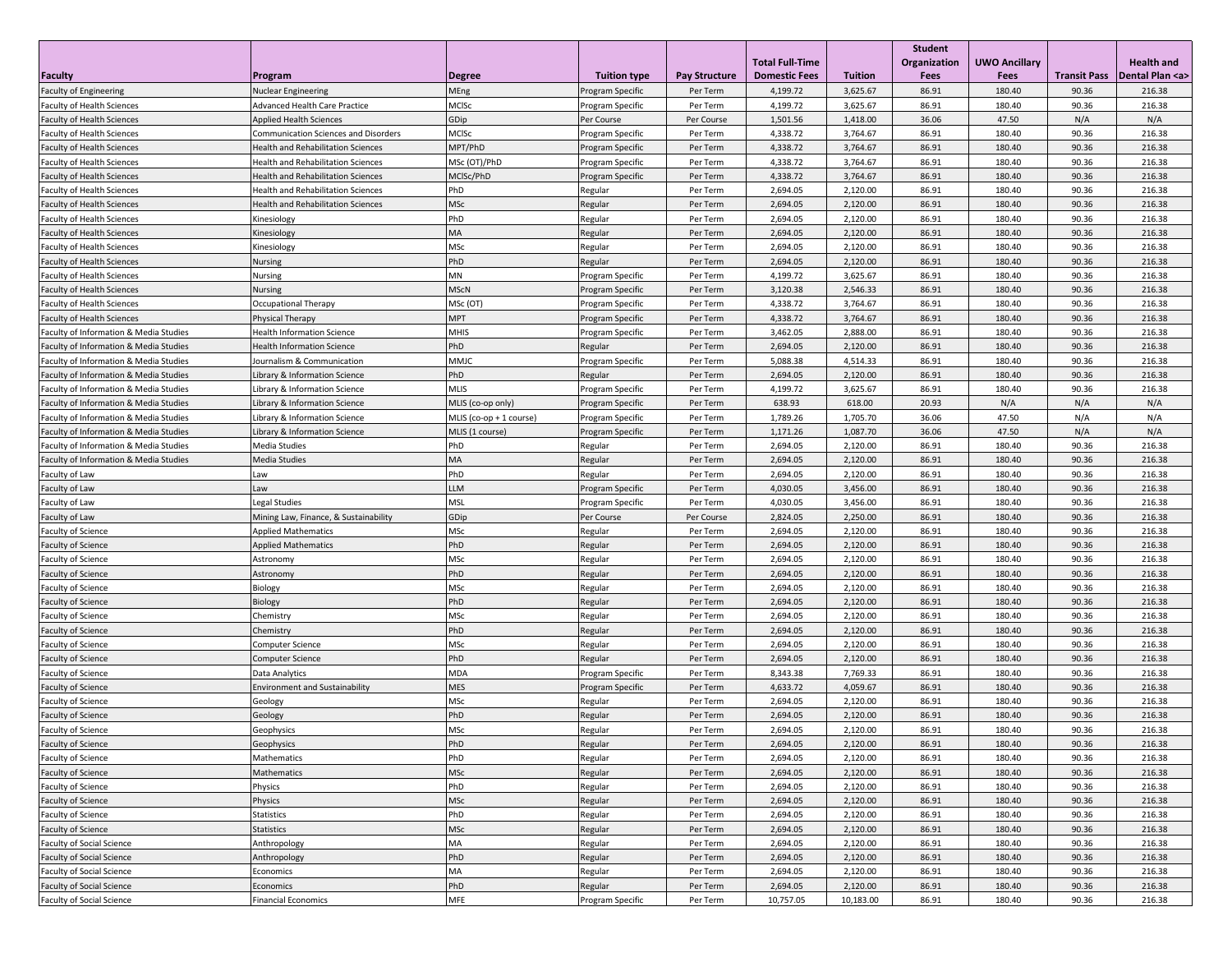|                                                                        |                                                                                        |                         |                             |                      | <b>Total Full-Time</b> |                      | <b>Student</b><br>Organization | <b>UWO Ancillary</b> |                     | <b>Health and</b>   |
|------------------------------------------------------------------------|----------------------------------------------------------------------------------------|-------------------------|-----------------------------|----------------------|------------------------|----------------------|--------------------------------|----------------------|---------------------|---------------------|
| <b>Faculty</b>                                                         | Program                                                                                | <b>Degree</b>           | <b>Tuition type</b>         | Pay Structure        | <b>Domestic Fees</b>   | <b>Tuition</b>       | Fees                           | Fees                 | <b>Transit Pass</b> | Dental Plan <a></a> |
| <b>Faculty of Engineering</b>                                          | <b>Nuclear Engineering</b>                                                             | MEng                    | Program Specific            | Per Term             | 4,199.72               | 3,625.67             | 86.91                          | 180.40               | 90.36               | 216.38              |
| Faculty of Health Sciences                                             | Advanced Health Care Practice                                                          | MCISc                   | Program Specific            | Per Term             | 4,199.72               | 3,625.67             | 86.91                          | 180.40               | 90.36               | 216.38              |
| Faculty of Health Sciences                                             | <b>Applied Health Sciences</b>                                                         | GDip                    | Per Course                  | Per Course           | 1,501.56               | 1,418.00             | 36.06                          | 47.50                | N/A                 | N/A                 |
| <b>Faculty of Health Sciences</b>                                      | Communication Sciences and Disorders                                                   | MCISc<br>MPT/PhD        | Program Specific            | Per Term             | 4,338.72               | 3,764.67             | 86.91<br>86.91                 | 180.40               | 90.36<br>90.36      | 216.38<br>216.38    |
| <b>Faculty of Health Sciences</b><br><b>Faculty of Health Sciences</b> | <b>Health and Rehabilitation Sciences</b><br><b>Health and Rehabilitation Sciences</b> | MSc (OT)/PhD            | Program Specific            | Per Term<br>Per Term | 4,338.72<br>4,338.72   | 3,764.67<br>3,764.67 | 86.91                          | 180.40<br>180.40     | 90.36               | 216.38              |
| <b>Faculty of Health Sciences</b>                                      | <b>Health and Rehabilitation Sciences</b>                                              | MCISc/PhD               | Program Specific            | Per Term             | 4,338.72               | 3,764.67             | 86.91                          | 180.40               | 90.36               | 216.38              |
| <b>Faculty of Health Sciences</b>                                      | <b>Health and Rehabilitation Sciences</b>                                              | PhD                     | Program Specific<br>Regular | Per Term             | 2,694.05               | 2,120.00             | 86.91                          | 180.40               | 90.36               | 216.38              |
| <b>Faculty of Health Sciences</b>                                      | <b>Health and Rehabilitation Sciences</b>                                              | MSc                     | Regular                     | Per Term             | 2,694.05               | 2,120.00             | 86.91                          | 180.40               | 90.36               | 216.38              |
| <b>Faculty of Health Sciences</b>                                      | Kinesiology                                                                            | PhD                     | Regular                     | Per Term             | 2,694.05               | 2,120.00             | 86.91                          | 180.40               | 90.36               | 216.38              |
| <b>Faculty of Health Sciences</b>                                      | Kinesiology                                                                            | <b>MA</b>               | Regular                     | Per Term             | 2,694.05               | 2,120.00             | 86.91                          | 180.40               | 90.36               | 216.38              |
| <b>Faculty of Health Sciences</b>                                      | Kinesiology                                                                            | MSc                     | Regular                     | Per Term             | 2,694.05               | 2,120.00             | 86.91                          | 180.40               | 90.36               | 216.38              |
| <b>Faculty of Health Sciences</b>                                      | Nursing                                                                                | PhD                     | Regular                     | Per Term             | 2,694.05               | 2,120.00             | 86.91                          | 180.40               | 90.36               | 216.38              |
| Faculty of Health Sciences                                             | <b>Nursing</b>                                                                         | MN                      | Program Specific            | Per Term             | 4,199.72               | 3,625.67             | 86.91                          | 180.40               | 90.36               | 216.38              |
| <b>Faculty of Health Sciences</b>                                      | Nursing                                                                                | <b>MScN</b>             | Program Specific            | Per Term             | 3,120.38               | 2,546.33             | 86.91                          | 180.40               | 90.36               | 216.38              |
| Faculty of Health Sciences                                             | Occupational Therapy                                                                   | MSc (OT)                | Program Specific            | Per Term             | 4,338.72               | 3,764.67             | 86.91                          | 180.40               | 90.36               | 216.38              |
| <b>Faculty of Health Sciences</b>                                      | Physical Therapy                                                                       | <b>MPT</b>              | Program Specific            | Per Term             | 4,338.72               | 3,764.67             | 86.91                          | 180.40               | 90.36               | 216.38              |
| Faculty of Information & Media Studies                                 | <b>Health Information Science</b>                                                      | <b>MHIS</b>             | Program Specific            | Per Term             | 3,462.05               | 2,888.00             | 86.91                          | 180.40               | 90.36               | 216.38              |
| Faculty of Information & Media Studies                                 | <b>Health Information Science</b>                                                      | PhD                     | Regular                     | Per Term             | 2,694.05               | 2,120.00             | 86.91                          | 180.40               | 90.36               | 216.38              |
| Faculty of Information & Media Studies                                 | Journalism & Communication                                                             | MMJC                    | Program Specific            | Per Term             | 5,088.38               | 4,514.33             | 86.91                          | 180.40               | 90.36               | 216.38              |
| Faculty of Information & Media Studies                                 | Library & Information Science                                                          | PhD                     | Regular                     | Per Term             | 2,694.05               | 2,120.00             | 86.91                          | 180.40               | 90.36               | 216.38              |
| Faculty of Information & Media Studies                                 | Library & Information Science                                                          | <b>MLIS</b>             | Program Specific            | Per Term             | 4,199.72               | 3,625.67             | 86.91                          | 180.40               | 90.36               | 216.38              |
| Faculty of Information & Media Studies                                 | Library & Information Science                                                          | MLIS (co-op only)       | Program Specific            | Per Term             | 638.93                 | 618.00               | 20.93                          | N/A                  | N/A                 | N/A                 |
| Faculty of Information & Media Studies                                 | Library & Information Science                                                          | MLIS (co-op + 1 course) | Program Specific            | Per Term             | 1,789.26               | 1,705.70             | 36.06                          | 47.50                | N/A                 | N/A                 |
| Faculty of Information & Media Studies                                 | Library & Information Science                                                          | MLIS (1 course)         | Program Specific            | Per Term             | 1,171.26               | 1,087.70             | 36.06                          | 47.50                | N/A                 | N/A                 |
| Faculty of Information & Media Studies                                 | <b>Media Studies</b>                                                                   | PhD                     | Regular                     | Per Term             | 2,694.05               | 2,120.00             | 86.91                          | 180.40               | 90.36               | 216.38              |
| Faculty of Information & Media Studies                                 | <b>Media Studies</b>                                                                   | MA                      | Regular                     | Per Term             | 2,694.05               | 2,120.00             | 86.91                          | 180.40               | 90.36               | 216.38              |
| Faculty of Law                                                         | Law                                                                                    | PhD                     | Regular                     | Per Term             | 2,694.05               | 2,120.00             | 86.91                          | 180.40               | 90.36               | 216.38              |
| Faculty of Law                                                         | Law                                                                                    | <b>LLM</b>              | Program Specific            | Per Term             | 4,030.05               | 3,456.00             | 86.91                          | 180.40               | 90.36               | 216.38              |
| Faculty of Law                                                         | <b>Legal Studies</b>                                                                   | <b>MSL</b>              | Program Specific            | Per Term             | 4,030.05               | 3,456.00             | 86.91                          | 180.40               | 90.36               | 216.38              |
| Faculty of Law                                                         | Mining Law, Finance, & Sustainability                                                  | GDip                    | Per Course                  | Per Course           | 2,824.05               | 2,250.00             | 86.91                          | 180.40               | 90.36               | 216.38              |
| Faculty of Science                                                     | <b>Applied Mathematics</b>                                                             | MSc                     | Regular                     | Per Term             | 2,694.05               | 2,120.00             | 86.91                          | 180.40               | 90.36               | 216.38              |
| <b>Faculty of Science</b>                                              | <b>Applied Mathematics</b>                                                             | PhD                     | Regular                     | Per Term             | 2,694.05               | 2,120.00             | 86.91                          | 180.40               | 90.36               | 216.38              |
| Faculty of Science                                                     | Astronomy                                                                              | MSc                     | Regular                     | Per Term             | 2,694.05               | 2,120.00             | 86.91                          | 180.40               | 90.36               | 216.38              |
| <b>Faculty of Science</b>                                              | Astronomy                                                                              | PhD                     | Regular                     | Per Term             | 2,694.05               | 2,120.00             | 86.91                          | 180.40               | 90.36               | 216.38              |
| Faculty of Science                                                     | Biology                                                                                | MSc                     | Regular                     | Per Term             | 2,694.05               | 2,120.00             | 86.91                          | 180.40               | 90.36               | 216.38              |
| <b>Faculty of Science</b>                                              | Biology                                                                                | PhD                     | Regular                     | Per Term             | 2,694.05               | 2,120.00             | 86.91                          | 180.40               | 90.36               | 216.38              |
| Faculty of Science                                                     | Chemistry                                                                              | MSc                     | Regular                     | Per Term             | 2,694.05               | 2,120.00             | 86.91                          | 180.40               | 90.36               | 216.38              |
| <b>Faculty of Science</b>                                              | Chemistry                                                                              | PhD                     | Regular                     | Per Term             | 2,694.05               | 2,120.00             | 86.91                          | 180.40               | 90.36               | 216.38              |
| Faculty of Science                                                     | <b>Computer Science</b>                                                                | MSc                     | Regular                     | Per Term             | 2,694.05               | 2,120.00             | 86.91                          | 180.40               | 90.36               | 216.38              |
| <b>Faculty of Science</b>                                              | <b>Computer Science</b>                                                                | PhD                     | Regular                     | Per Term             | 2,694.05               | 2,120.00             | 86.91                          | 180.40               | 90.36               | 216.38              |
| Faculty of Science                                                     | Data Analytics                                                                         | <b>MDA</b>              | Program Specific            | Per Term             | 8,343.38               | 7,769.33             | 86.91                          | 180.40               | 90.36               | 216.38              |
| <b>Faculty of Science</b>                                              | <b>Environment and Sustainability</b>                                                  | <b>MES</b>              | Program Specific            | Per Term             | 4,633.72               | 4,059.67             | 86.91                          | 180.40               | 90.36               | 216.38              |
| <b>Faculty of Science</b>                                              | Geology                                                                                | MSc                     | Regular                     | Per Term             | 2,694.05               | 2,120.00             | 86.91                          | 180.40               | 90.36               | 216.38              |
| <b>Faculty of Science</b>                                              | Geology                                                                                | PhD                     | Regular                     | Per Term             | 2,694.05               | 2,120.00             | 86.91                          | 180.40               | 90.36               | 216.38              |
| <b>Faculty of Science</b>                                              | Geophysics                                                                             | MSc                     | Regular                     | Per Term             | 2,694.05               | 2,120.00             | 86.91                          | 180.40               | 90.36               | 216.38              |
| Faculty of Science                                                     | Geophysics                                                                             | PhD                     | Regular                     | Per Term             | 2,694.05               | 2,120.00             | 86.91                          | 180.40               | 90.36               | 216.38              |
| Faculty of Science                                                     | Mathematics                                                                            | PhD                     | Regular                     | Per Term             | 2,694.05               | 2,120.00             | 86.91                          | 180.40               | 90.36               | 216.38              |
| Faculty of Science                                                     | Mathematics                                                                            | MSc                     | Regular                     | Per Term             | 2,694.05               | 2,120.00             | 86.91                          | 180.40               | 90.36               | 216.38              |
| Faculty of Science                                                     | Physics                                                                                | PhD                     | Regular                     | Per Term             | 2,694.05               | 2,120.00             | 86.91                          | 180.40               | 90.36               | 216.38              |
| Faculty of Science                                                     | Physics                                                                                | MSc                     | Regular                     | Per Term             | 2,694.05               | 2,120.00             | 86.91                          | 180.40               | 90.36               | 216.38              |
| Faculty of Science                                                     | Statistics                                                                             | PhD                     | Regular                     | Per Term             | 2,694.05               | 2,120.00             | 86.91                          | 180.40               | 90.36               | 216.38              |
| Faculty of Science                                                     | Statistics                                                                             | MSc                     | Regular                     | Per Term             | 2,694.05               | 2,120.00             | 86.91                          | 180.40               | 90.36               | 216.38              |
| <b>Faculty of Social Science</b>                                       | Anthropology                                                                           | MA                      | Regular                     | Per Term             | 2,694.05               | 2,120.00             | 86.91                          | 180.40               | 90.36               | 216.38              |
| <b>Faculty of Social Science</b>                                       | Anthropology                                                                           | PhD                     | Regular                     | Per Term             | 2,694.05               | 2,120.00             | 86.91                          | 180.40               | 90.36               | 216.38              |
| <b>Faculty of Social Science</b>                                       | Economics                                                                              | MA                      | Regular                     | Per Term             | 2,694.05               | 2,120.00             | 86.91                          | 180.40               | 90.36               | 216.38              |
| <b>Faculty of Social Science</b>                                       | Economics                                                                              | PhD                     | Regular                     | Per Term             | 2,694.05               | 2,120.00             | 86.91                          | 180.40               | 90.36               | 216.38              |
| <b>Faculty of Social Science</b>                                       | <b>Financial Economics</b>                                                             | <b>MFE</b>              | Program Specific            | Per Term             | 10,757.05              | 10,183.00            | 86.91                          | 180.40               | 90.36               | 216.38              |